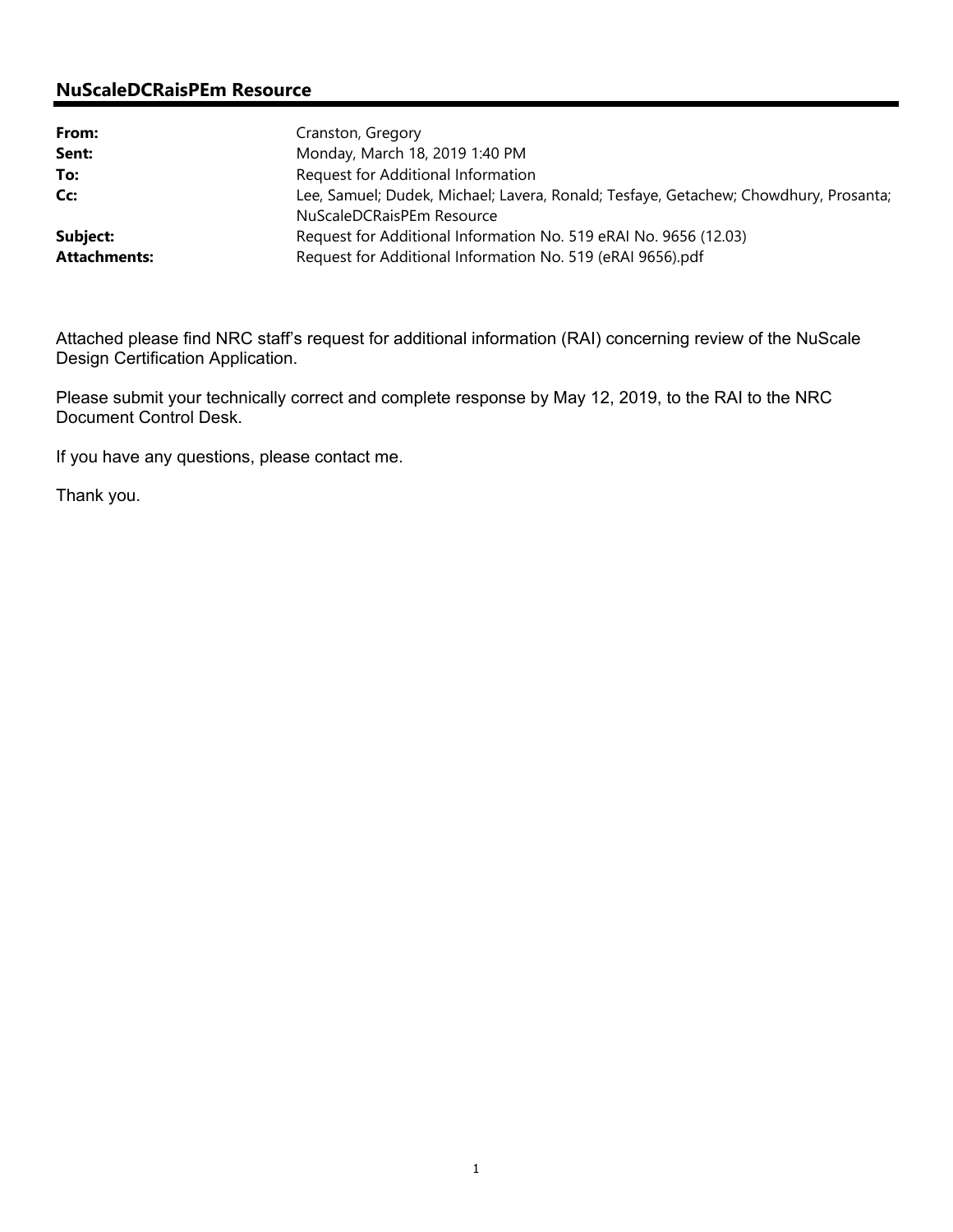# **NuScaleDCRaisPEm Resource**

| From:               | Cranston, Gregory                                                                    |  |
|---------------------|--------------------------------------------------------------------------------------|--|
| Sent:               | Monday, March 18, 2019 1:40 PM                                                       |  |
| To:                 | Request for Additional Information                                                   |  |
| Cc:                 | Lee, Samuel; Dudek, Michael; Lavera, Ronald; Tesfaye, Getachew; Chowdhury, Prosanta; |  |
|                     | NuScaleDCRaisPEm Resource                                                            |  |
| Subject:            | Request for Additional Information No. 519 eRAI No. 9656 (12.03)                     |  |
| <b>Attachments:</b> | Request for Additional Information No. 519 (eRAI 9656).pdf                           |  |

Attached please find NRC staff's request for additional information (RAI) concerning review of the NuScale Design Certification Application.

Please submit your technically correct and complete response by May 12, 2019, to the RAI to the NRC Document Control Desk.

If you have any questions, please contact me.

Thank you.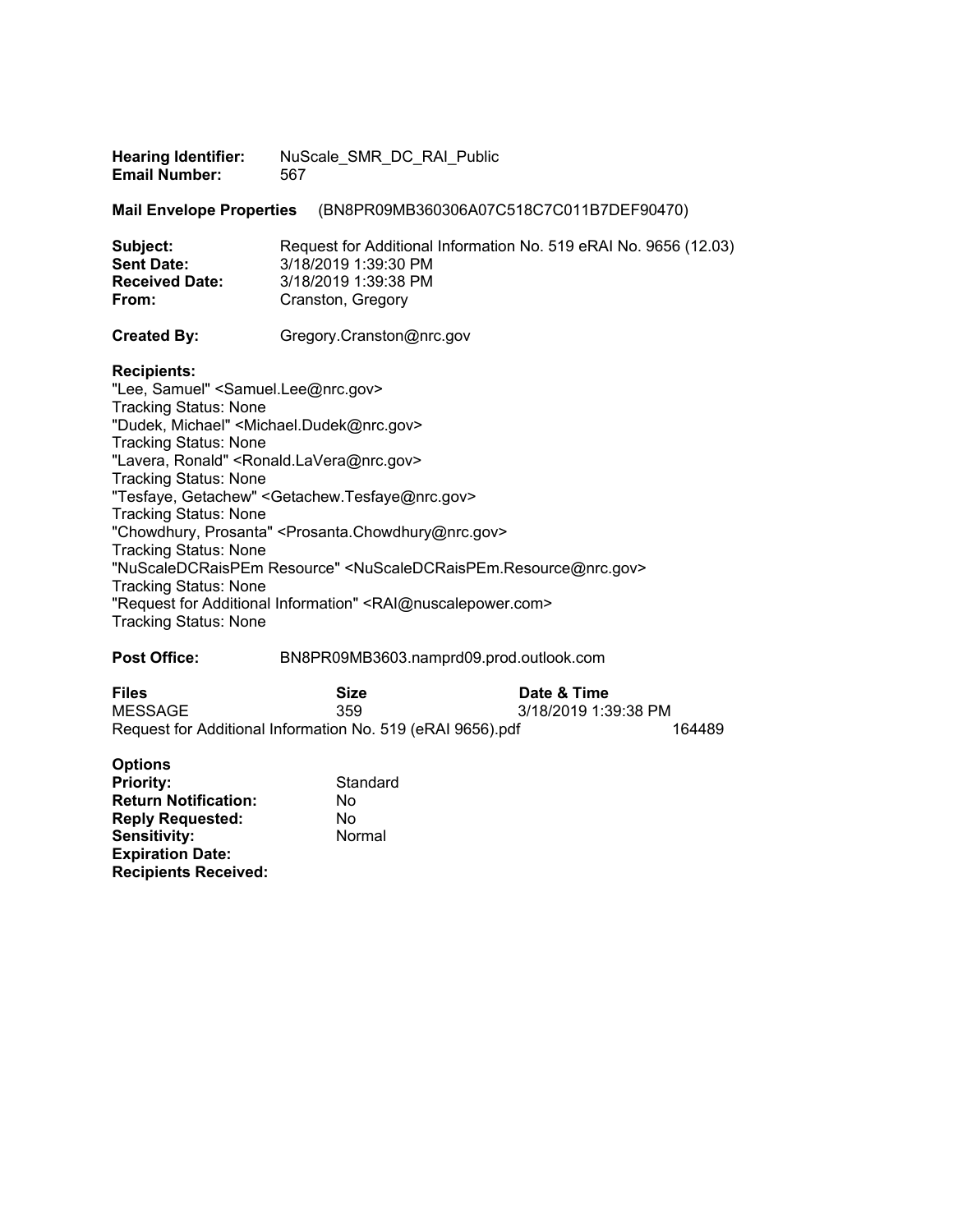| <b>Hearing Identifier:</b><br><b>Email Number:</b>                                                                                                                                                                                                                                                                                                                                                              | NuScale SMR DC RAI Public<br>567                                                                                                                                                                                                                                                                       |
|-----------------------------------------------------------------------------------------------------------------------------------------------------------------------------------------------------------------------------------------------------------------------------------------------------------------------------------------------------------------------------------------------------------------|--------------------------------------------------------------------------------------------------------------------------------------------------------------------------------------------------------------------------------------------------------------------------------------------------------|
| <b>Mail Envelope Properties</b>                                                                                                                                                                                                                                                                                                                                                                                 | (BN8PR09MB360306A07C518C7C011B7DEF90470)                                                                                                                                                                                                                                                               |
| Subject:<br><b>Sent Date:</b><br><b>Received Date:</b><br>From:                                                                                                                                                                                                                                                                                                                                                 | Request for Additional Information No. 519 eRAI No. 9656 (12.03)<br>3/18/2019 1:39:30 PM<br>3/18/2019 1:39:38 PM<br>Cranston, Gregory                                                                                                                                                                  |
| <b>Created By:</b>                                                                                                                                                                                                                                                                                                                                                                                              | Gregory.Cranston@nrc.gov                                                                                                                                                                                                                                                                               |
| <b>Recipients:</b><br>"Lee, Samuel" < Samuel.Lee@nrc.gov><br><b>Tracking Status: None</b><br>"Dudek, Michael" < Michael.Dudek@nrc.gov><br><b>Tracking Status: None</b><br>"Lavera, Ronald" <ronald.lavera@nrc.gov><br/><b>Tracking Status: None</b><br/><b>Tracking Status: None</b><br/><b>Tracking Status: None</b><br/><b>Tracking Status: None</b><br/><b>Tracking Status: None</b></ronald.lavera@nrc.gov> | "Tesfaye, Getachew" < Getachew. Tesfaye@nrc.gov><br>"Chowdhury, Prosanta" < Prosanta. Chowdhury@nrc.gov><br>"NuScaleDCRaisPEm Resource" <nuscaledcraispem.resource@nrc.gov><br/>"Request for Additional Information" <rai@nuscalepower.com></rai@nuscalepower.com></nuscaledcraispem.resource@nrc.gov> |
| <b>Post Office:</b>                                                                                                                                                                                                                                                                                                                                                                                             | BN8PR09MB3603.namprd09.prod.outlook.com                                                                                                                                                                                                                                                                |

**Files Size Bize** Date & Time MESSAGE 359 3/18/2019 1:39 3/18/2019 1:39:38 PM<br>If 164489 Request for Additional Information No. 519 (eRAI 9656).pdf

| <b>Options</b>              |          |
|-----------------------------|----------|
| <b>Priority:</b>            | Standard |
| <b>Return Notification:</b> | Nο       |
| <b>Reply Requested:</b>     | No       |
| <b>Sensitivity:</b>         | Normal   |
| <b>Expiration Date:</b>     |          |
| <b>Recipients Received:</b> |          |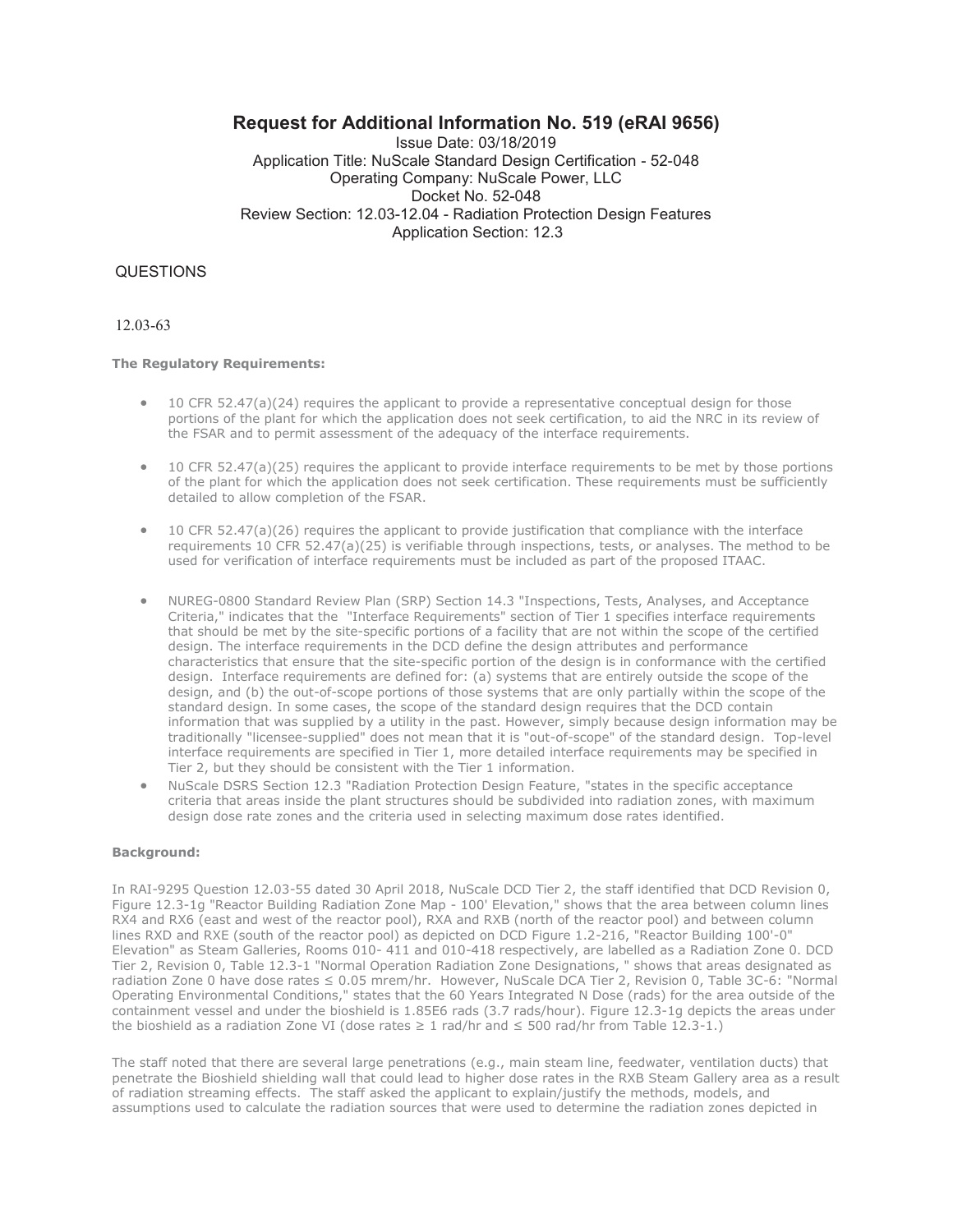# **Request for Additional Information No. 519 (eRAI 9656)**

Issue Date: 03/18/2019 Application Title: NuScale Standard Design Certification - 52-048 Operating Company: NuScale Power, LLC Docket No. 52-048 Review Section: 12.03-12.04 - Radiation Protection Design Features Application Section: 12.3

## QUESTIONS

### 12.03-63

#### **The Regulatory Requirements:**

- $\bullet$  10 CFR 52.47(a)(24) requires the applicant to provide a representative conceptual design for those portions of the plant for which the application does not seek certification, to aid the NRC in its review of the FSAR and to permit assessment of the adequacy of the interface requirements.
- 10 CFR 52.47(a)(25) requires the applicant to provide interface requirements to be met by those portions of the plant for which the application does not seek certification. These requirements must be sufficiently detailed to allow completion of the FSAR.
- 10 CFR 52.47(a)(26) requires the applicant to provide justification that compliance with the interface requirements 10 CFR 52.47(a)(25) is verifiable through inspections, tests, or analyses. The method to be used for verification of interface requirements must be included as part of the proposed ITAAC.
- NUREG-0800 Standard Review Plan (SRP) Section 14.3 "Inspections, Tests, Analyses, and Acceptance Criteria," indicates that the "Interface Requirements" section of Tier 1 specifies interface requirements that should be met by the site-specific portions of a facility that are not within the scope of the certified design. The interface requirements in the DCD define the design attributes and performance characteristics that ensure that the site-specific portion of the design is in conformance with the certified design. Interface requirements are defined for: (a) systems that are entirely outside the scope of the design, and (b) the out-of-scope portions of those systems that are only partially within the scope of the standard design. In some cases, the scope of the standard design requires that the DCD contain information that was supplied by a utility in the past. However, simply because design information may be traditionally "licensee-supplied" does not mean that it is "out-of-scope" of the standard design. Top-level interface requirements are specified in Tier 1, more detailed interface requirements may be specified in Tier 2, but they should be consistent with the Tier 1 information.
- NuScale DSRS Section 12.3 "Radiation Protection Design Feature, "states in the specific acceptance criteria that areas inside the plant structures should be subdivided into radiation zones, with maximum design dose rate zones and the criteria used in selecting maximum dose rates identified.

#### **Background:**

In RAI-9295 Question 12.03-55 dated 30 April 2018, NuScale DCD Tier 2, the staff identified that DCD Revision 0, Figure 12.3-1g "Reactor Building Radiation Zone Map - 100' Elevation," shows that the area between column lines RX4 and RX6 (east and west of the reactor pool), RXA and RXB (north of the reactor pool) and between column lines RXD and RXE (south of the reactor pool) as depicted on DCD Figure 1.2-216, "Reactor Building 100'-0" Elevation" as Steam Galleries, Rooms 010- 411 and 010-418 respectively, are labelled as a Radiation Zone 0. DCD Tier 2, Revision 0, Table 12.3-1 "Normal Operation Radiation Zone Designations, " shows that areas designated as radiation Zone 0 have dose rates ≤ 0.05 mrem/hr. However, NuScale DCA Tier 2, Revision 0, Table 3C-6: "Normal Operating Environmental Conditions," states that the 60 Years Integrated N Dose (rads) for the area outside of the containment vessel and under the bioshield is 1.85E6 rads (3.7 rads/hour). Figure 12.3-1g depicts the areas under the bioshield as a radiation Zone VI (dose rates ≥ 1 rad/hr and ≤ 500 rad/hr from Table 12.3-1.)

The staff noted that there are several large penetrations (e.g., main steam line, feedwater, ventilation ducts) that penetrate the Bioshield shielding wall that could lead to higher dose rates in the RXB Steam Gallery area as a result of radiation streaming effects. The staff asked the applicant to explain/justify the methods, models, and assumptions used to calculate the radiation sources that were used to determine the radiation zones depicted in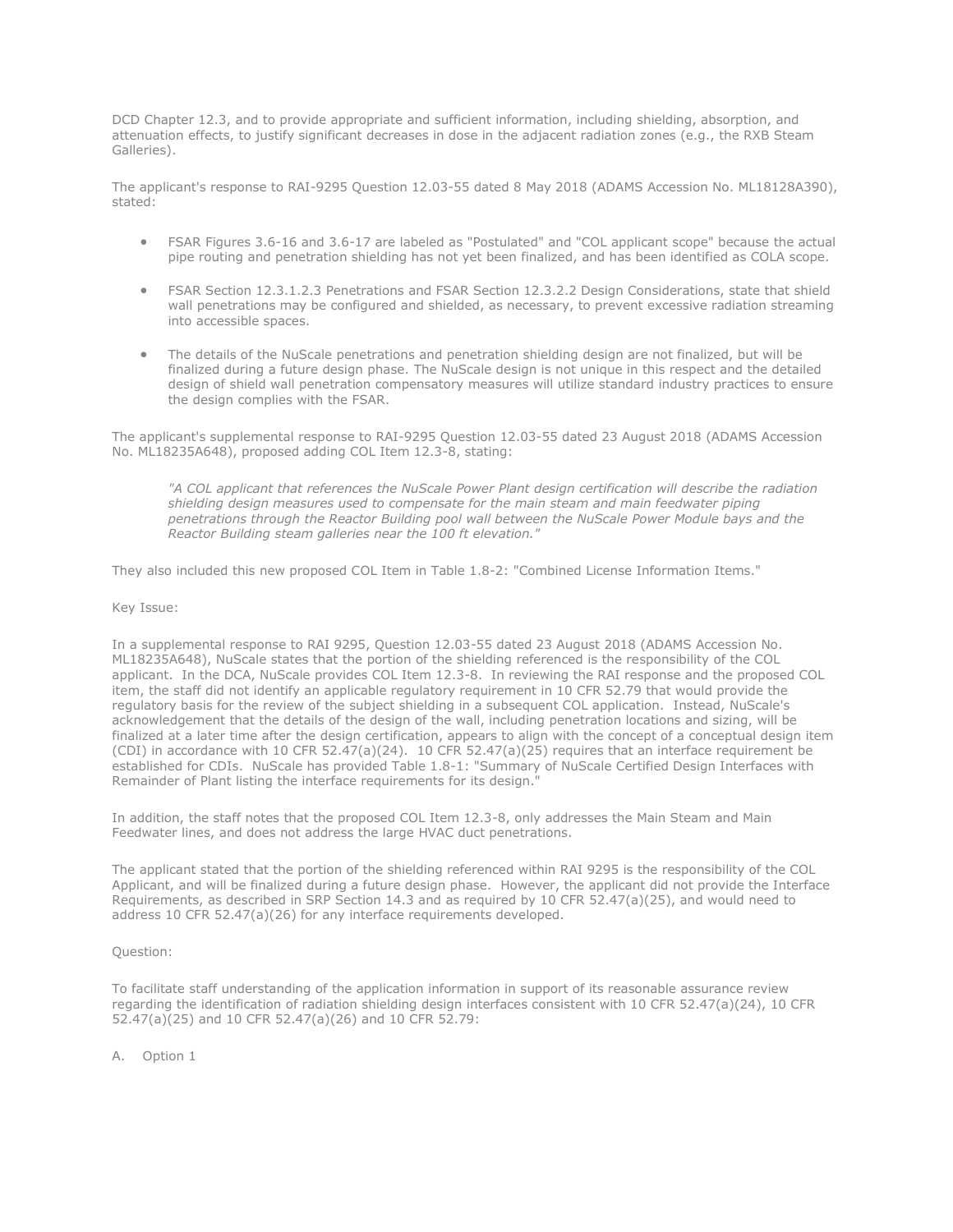DCD Chapter 12.3, and to provide appropriate and sufficient information, including shielding, absorption, and attenuation effects, to justify significant decreases in dose in the adjacent radiation zones (e.g., the RXB Steam Galleries).

The applicant's response to RAI-9295 Question 12.03-55 dated 8 May 2018 (ADAMS Accession No. ML18128A390), stated:

- FSAR Figures 3.6-16 and 3.6-17 are labeled as "Postulated" and "COL applicant scope" because the actual pipe routing and penetration shielding has not yet been finalized, and has been identified as COLA scope.
- FSAR Section 12.3.1.2.3 Penetrations and FSAR Section 12.3.2.2 Design Considerations, state that shield wall penetrations may be configured and shielded, as necessary, to prevent excessive radiation streaming into accessible spaces.
- The details of the NuScale penetrations and penetration shielding design are not finalized, but will be finalized during a future design phase. The NuScale design is not unique in this respect and the detailed design of shield wall penetration compensatory measures will utilize standard industry practices to ensure the design complies with the FSAR.

The applicant's supplemental response to RAI-9295 Question 12.03-55 dated 23 August 2018 (ADAMS Accession No. ML18235A648), proposed adding COL Item 12.3-8, stating:

*"A COL applicant that references the NuScale Power Plant design certification will describe the radiation shielding design measures used to compensate for the main steam and main feedwater piping penetrations through the Reactor Building pool wall between the NuScale Power Module bays and the Reactor Building steam galleries near the 100 ft elevation."*

They also included this new proposed COL Item in Table 1.8-2: "Combined License Information Items."

#### Key Issue:

In a supplemental response to RAI 9295, Question 12.03-55 dated 23 August 2018 (ADAMS Accession No. ML18235A648), NuScale states that the portion of the shielding referenced is the responsibility of the COL applicant. In the DCA, NuScale provides COL Item 12.3-8. In reviewing the RAI response and the proposed COL item, the staff did not identify an applicable regulatory requirement in 10 CFR 52.79 that would provide the regulatory basis for the review of the subject shielding in a subsequent COL application. Instead, NuScale's acknowledgement that the details of the design of the wall, including penetration locations and sizing, will be finalized at a later time after the design certification, appears to align with the concept of a conceptual design item (CDI) in accordance with 10 CFR 52.47(a)(24). 10 CFR 52.47(a)(25) requires that an interface requirement be established for CDIs. NuScale has provided Table 1.8-1: "Summary of NuScale Certified Design Interfaces with Remainder of Plant listing the interface requirements for its design.

In addition, the staff notes that the proposed COL Item 12.3-8, only addresses the Main Steam and Main Feedwater lines, and does not address the large HVAC duct penetrations.

The applicant stated that the portion of the shielding referenced within RAI 9295 is the responsibility of the COL Applicant, and will be finalized during a future design phase. However, the applicant did not provide the Interface Requirements, as described in SRP Section 14.3 and as required by 10 CFR 52.47(a)(25), and would need to address 10 CFR 52.47(a)(26) for any interface requirements developed.

#### Question:

To facilitate staff understanding of the application information in support of its reasonable assurance review regarding the identification of radiation shielding design interfaces consistent with 10 CFR 52.47(a)(24), 10 CFR 52.47(a)(25) and 10 CFR 52.47(a)(26) and 10 CFR 52.79:

A. Option 1